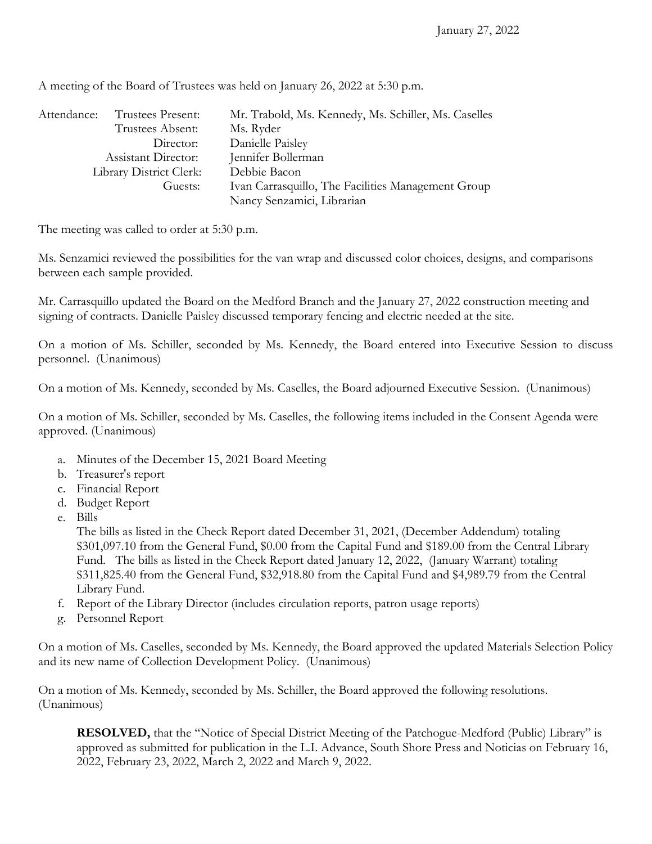| Attendance:                | Trustees Present: | Mr. Trabold, Ms. Kennedy, Ms. Schiller, Ms. Caselles |
|----------------------------|-------------------|------------------------------------------------------|
|                            | Trustees Absent:  | Ms. Ryder                                            |
|                            | Director:         | Danielle Paisley                                     |
| <b>Assistant Director:</b> |                   | Jennifer Bollerman                                   |
| Library District Clerk:    |                   | Debbie Bacon                                         |
| Guests:                    |                   | Ivan Carrasquillo, The Facilities Management Group   |
|                            |                   | Nancy Senzamici, Librarian                           |

A meeting of the Board of Trustees was held on January 26, 2022 at 5:30 p.m.

The meeting was called to order at 5:30 p.m.

Ms. Senzamici reviewed the possibilities for the van wrap and discussed color choices, designs, and comparisons between each sample provided.

Mr. Carrasquillo updated the Board on the Medford Branch and the January 27, 2022 construction meeting and signing of contracts. Danielle Paisley discussed temporary fencing and electric needed at the site.

On a motion of Ms. Schiller, seconded by Ms. Kennedy, the Board entered into Executive Session to discuss personnel. (Unanimous)

On a motion of Ms. Kennedy, seconded by Ms. Caselles, the Board adjourned Executive Session. (Unanimous)

On a motion of Ms. Schiller, seconded by Ms. Caselles, the following items included in the Consent Agenda were approved. (Unanimous)

- a. Minutes of the December 15, 2021 Board Meeting
- b. Treasurer's report
- c. Financial Report
- d. Budget Report
- e. Bills

The bills as listed in the Check Report dated December 31, 2021, (December Addendum) totaling \$301,097.10 from the General Fund, \$0.00 from the Capital Fund and \$189.00 from the Central Library Fund. The bills as listed in the Check Report dated January 12, 2022, (January Warrant) totaling \$311,825.40 from the General Fund, \$32,918.80 from the Capital Fund and \$4,989.79 from the Central Library Fund.

- f. Report of the Library Director (includes circulation reports, patron usage reports)
- g. Personnel Report

On a motion of Ms. Caselles, seconded by Ms. Kennedy, the Board approved the updated Materials Selection Policy and its new name of Collection Development Policy. (Unanimous)

On a motion of Ms. Kennedy, seconded by Ms. Schiller, the Board approved the following resolutions. (Unanimous)

**RESOLVED,** that the "Notice of Special District Meeting of the Patchogue-Medford (Public) Library" is approved as submitted for publication in the L.I. Advance, South Shore Press and Noticias on February 16, 2022, February 23, 2022, March 2, 2022 and March 9, 2022.